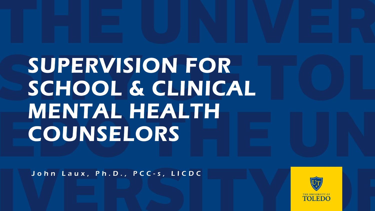# SUPERVISION FOR SCHOOL & CLINICAL MENTAL HEALTH **COUNSELORS**

John Laux, Ph.D., PCC - s, LICDC

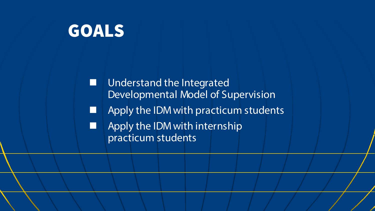#### GOALS

**Understand the Integrated** Developmental Model of Supervision Apply the IDM with practicum students **Apply the IDM with internship** practicum students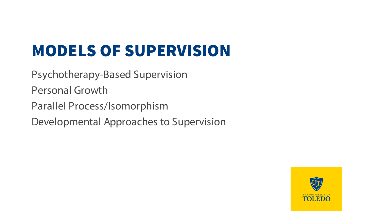### MODELS OF SUPERVISION

Psychotherapy-Based Supervision Personal Growth Parallel Process/Isomorphism Developmental Approaches to Supervision

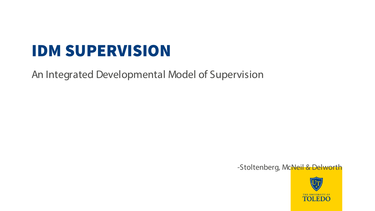### IDM SUPERVISION

An Integrated Developmental Model of Supervision

-Stoltenberg, McNeil & Delworth

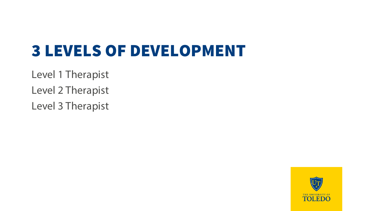### 3 LEVELS OF DEVELOPMENT

Level 1 Therapist Level 2 Therapist Level 3 Therapist

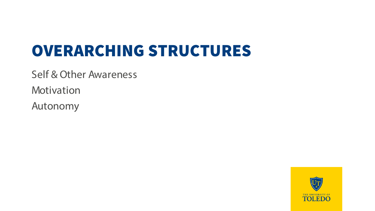### OVERARCHING STRUCTURES

Self & Other Awareness

Motivation

Autonomy

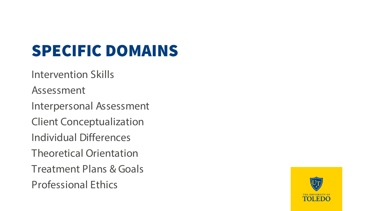## SPECIFIC DOMAINS

- Intervention Skills
- Assessment
- Interpersonal Assessment
- Client Conceptualization
- Individual Differences
- Theoretical Orientation
- Treatment Plans & Goals
- Professional Ethics

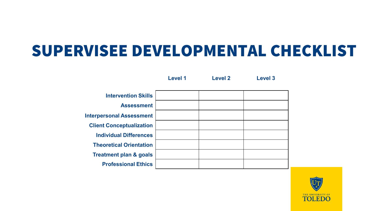#### SUPERVISEE DEVELOPMENTAL CHECKLIST

**Level 1 Level 2 Level 3**

| <b>Intervention Skills</b>        |  |  |
|-----------------------------------|--|--|
| <b>Assessment</b>                 |  |  |
| <b>Interpersonal Assessment</b>   |  |  |
| <b>Client Conceptualization</b>   |  |  |
| <b>Individual Differences</b>     |  |  |
| <b>Theoretical Orientation</b>    |  |  |
| <b>Treatment plan &amp; goals</b> |  |  |
| <b>Professional Ethics</b>        |  |  |
|                                   |  |  |

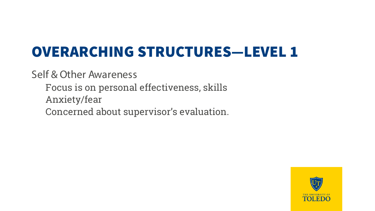Self & Other Awareness

- Focus is on personal effectiveness, skills Anxiety/fear
- Concerned about supervisor's evaluation.

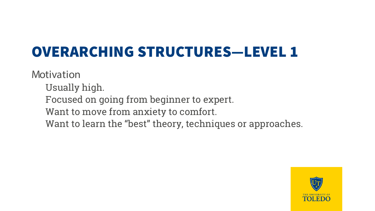Motivation

Usually high. Focused on going from beginner to expert. Want to move from anxiety to comfort. Want to learn the "best" theory, techniques or approaches.

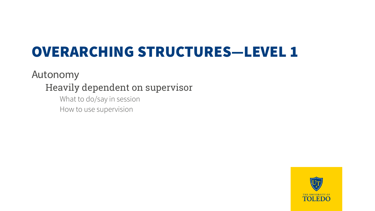#### Autonomy Heavily dependent on supervisor

- What to do/say in session
- How to use supervision

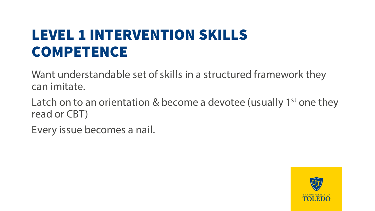#### LEVEL 1 INTERVENTION SKILLS COMPETENCE

Want understandable set of skills in a structured framework they can imitate.

Latch on to an orientation & become a devotee (usually 1<sup>st</sup> one they read or CBT)

Every issue becomes a nail.

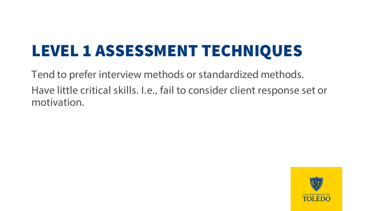### LEVEL 1 ASSESSMENT TECHNIQUES

Tend to prefer interview methods or standardized methods. Have little critical skills. I.e., fail to consider client response set or motivation.

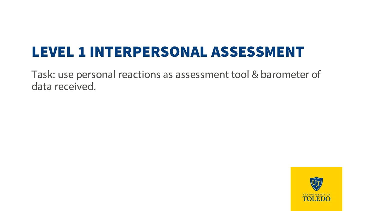#### LEVEL 1 INTERPERSONAL ASSESSMENT

Task: use personal reactions as assessment tool & barometer of data received.

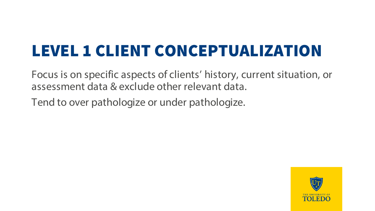### LEVEL 1 CLIENT CONCEPTUALIZATION

Focus is on specific aspects of clients' history, current situation, or assessment data & exclude other relevant data.

Tend to over pathologize or under pathologize.

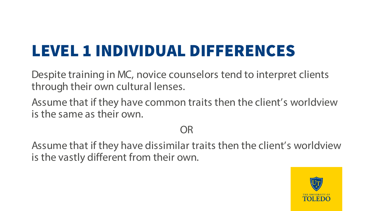### LEVEL 1 INDIVIDUAL DIFFERENCES

Despite training in MC, novice counselors tend to interpret clients through their own cultural lenses.

Assume that if they have common traits then the client's worldview is the same as their own.

OR

Assume that if they have dissimilar traits then the client's worldview is the vastly different from their own.

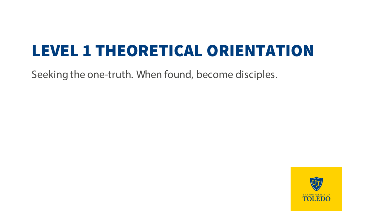### LEVEL 1 THEORETICAL ORIENTATION

Seeking the one-truth. When found, become disciples.

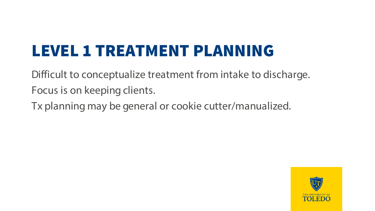### LEVEL 1 TREATMENT PLANNING

Difficult to conceptualize treatment from intake to discharge. Focus is on keeping clients.

Tx planning may be general or cookie cutter/manualized.

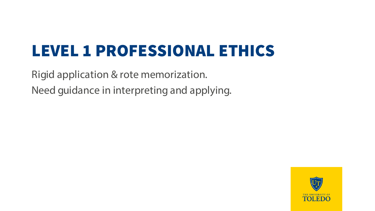### LEVEL 1 PROFESSIONAL ETHICS

Rigid application & rote memorization. Need guidance in interpreting and applying.

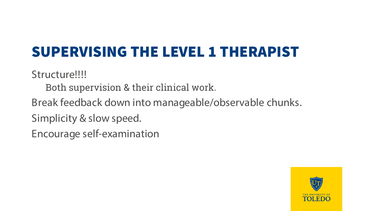Structure!!!!

Both supervision & their clinical work.

Break feedback down into manageable/observable chunks.

Simplicity & slow speed.

Encourage self-examination

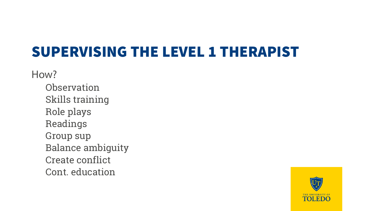How?

**Observation** Skills training Role plays Readings Group sup Balance ambiguity Create conflict Cont. education

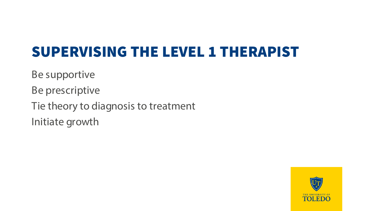Be supportive Be prescriptive Tie theory to diagnosis to treatment Initiate growth

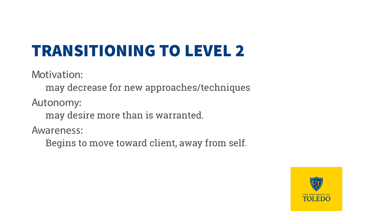## TRANSITIONING TO LEVEL 2

Motivation:

may decrease for new approaches/techniques

Autonomy:

may desire more than is warranted.

Awareness:

Begins to move toward client, away from self.

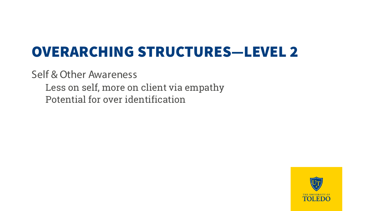Self & Other Awareness

Less on self, more on client via empathy Potential for over identification

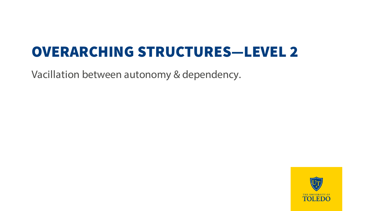Vacillation between autonomy & dependency.

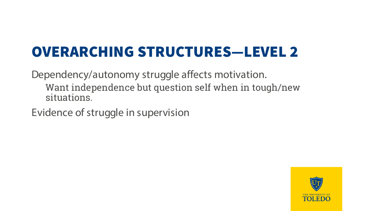Dependency/autonomy struggle affects motivation. Want independence but question self when in tough/new situations.

Evidence of struggle in supervision

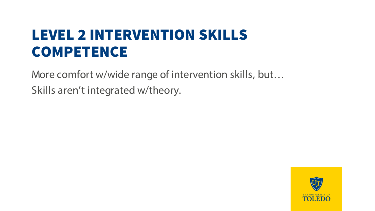#### LEVEL 2 INTERVENTION SKILLS COMPETENCE

More comfort w/wide range of intervention skills, but… Skills aren't integrated w/theory.

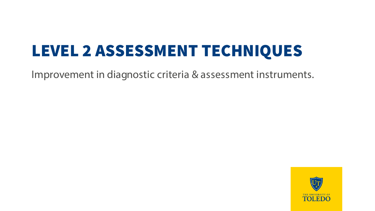### LEVEL 2 ASSESSMENT TECHNIQUES

Improvement in diagnostic criteria & assessment instruments.

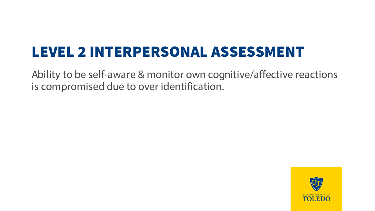#### LEVEL 2 INTERPERSONAL ASSESSMENT

Ability to be self-aware & monitor own cognitive/affective reactions is compromised due to over identification.

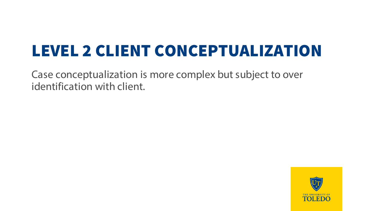### LEVEL 2 CLIENT CONCEPTUALIZATION

Case conceptualization is more complex but subject to over identification with client.

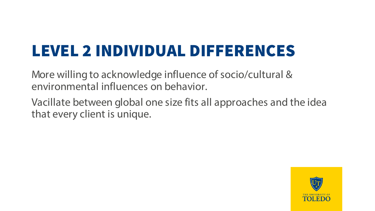### LEVEL 2 INDIVIDUAL DIFFERENCES

More willing to acknowledge influence of socio/cultural & environmental influences on behavior.

Vacillate between global one size fits all approaches and the idea that every client is unique.

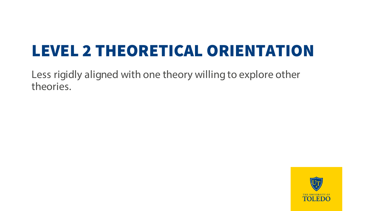### LEVEL 2 THEORETICAL ORIENTATION

Less rigidly aligned with one theory willing to explore other theories.

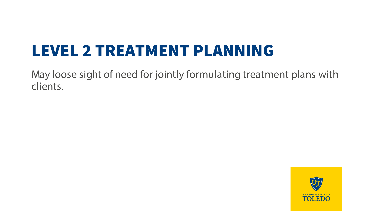### LEVEL 2 TREATMENT PLANNING

May loose sight of need for jointly formulating treatment plans with clients.

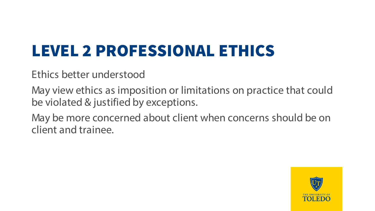### LEVEL 2 PROFESSIONAL ETHICS

Ethics better understood

May view ethics as imposition or limitations on practice that could be violated & justified by exceptions.

May be more concerned about client when concerns should be on client and trainee.

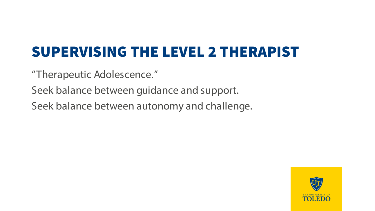- "Therapeutic Adolescence."
- Seek balance between guidance and support.
- Seek balance between autonomy and challenge.

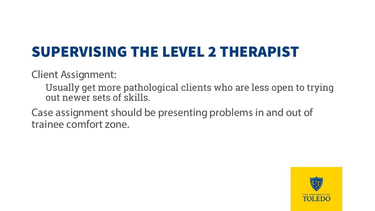Client Assignment:

Usually get more pathological clients who are less open to trying out newer sets of skills.

Case assignment should be presenting problems in and out of trainee comfort zone.

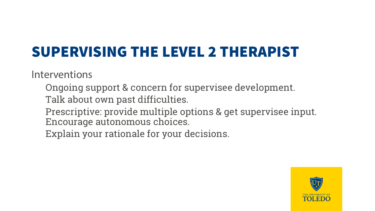Interventions

Ongoing support & concern for supervisee development. Talk about own past difficulties.

Prescriptive: provide multiple options & get supervisee input. Encourage autonomous choices.

Explain your rationale for your decisions.